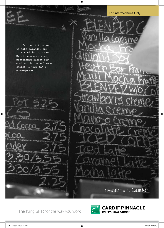

The living SIPP, for the way you work

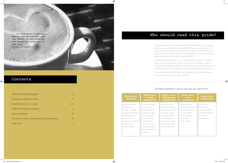... the possibility of seriously offering them anything less than they demand. So that makes me more demanding, and around it goes again... Anyone out there?...

| Who should read this guide?                        | 2       |
|----------------------------------------------------|---------|
| Complete Investment Choice                         | 3       |
| Investment choice - in detail                      | $4 - 5$ |
| <b>HMRC Permitted Investments</b>                  | 5       |
| <b>Dynamic Planner</b>                             | 5       |
| Investment choice - where to find more information | 6       |
| What next?                                         |         |

# Contents

 $\bigoplus$ 

# Who should read this guide?

This guide is designed for Independent Financial Advisers (IFAs) who are advising their clients to use the Cardif Pinnacle living SIPP to plan for their retirement. The guide examines the investment choices that are available to the SIPP member and you should read this guide to gain an understanding of the investment choices and options available under the Cardif Pinnacle living SIPP.

The Cardif Pinnacle living SIPP is a "full" SIPP by which we mean that it does not seek to restrict the investment choice to be made by the member. In addition it contains some exclusive investment choices such as the Cardif Pinnacle Cash Fund and the Investment Funds managed on behalf of Cardif Pinnacle by FundsQuest.

## n Three tionary! gement

the SIPP managed by etionary Fund er, typically broker with retionary to buy and ectives and westments

# Option Five - **Combination**

The Cardif Pinnacle living SIPP allows the member to invest in a comprehensive range of investment securities. (See pages 4/5).

# The best investment route for the way your clients are:

| <b>Option One -</b><br><b>Advisory</b> | <b>Option Two -</b><br><b>Portfolio</b><br><b>Management</b> | Optio<br><b>Discr</b><br>Mana |
|----------------------------------------|--------------------------------------------------------------|-------------------------------|
| Where the adviser                      | Where the adviser                                            | Where t                       |
| recommends                             | out sources to a                                             | fund is r                     |
| a range of suitable                    | specialist firm to                                           | a Discre                      |
| collective investment                  | arrange a suitable                                           | Manage                        |
| funds (unit trusts,                    | mix of collective                                            | a stockb                      |
| open ended                             | investments and                                              | full discr                    |
| investment companies                   | where that firm                                              | <i>powers</i>                 |
| and insurance                          | can change the                                               | sell colle                    |
| company funds)                         | collectives under a                                          | direct in                     |
|                                        | limited discretionary                                        |                               |
|                                        | mandate                                                      |                               |
|                                        |                                                              |                               |

 $\bigoplus$ 

## Option Four - **Direct** Investment

Where the client makes the investment decisions, perhaps by buying SIPP assets such as stocks and shares directly

Of the above approaches depending upon the SIPP members investment requirements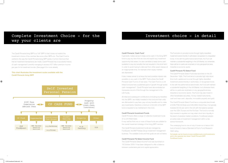# Complete Investment Choice - for the way your clients are

The Cardif Pinnacle living SIPP is a "full" SIPP in that it does not restrict the investment choice of the member like some other SIPPs do. The Cash Fund is central to the way the Cardif Pinnacle living SIPP works. It is from this fund that that all investment transactions are made. Cardif Pinnacle has a successful history of cash management currently managing in excess of £1 billion premium income per year for its investment bonds. (See page 6 for more details)

# Investment choice - in detail

#### Cardif Pinnacle 'Cash Fund'

⊕

It generally makes sense to keep some cash in the living SIPP fund to pay any fees that are due and exploit any investment opportunity that arises. It is also sensible to keep some cash available to pay any benefits that are required in the short term in order to avoid having to disinvest from other asset classes at an inappropriate time, for example when equity markets are depressed. The Fund aims to provide income through highly diversified investment predominantly in authorised, recognised or unregulated funds. In line with the performance benchmark, the Fund will maintain a substantial weighting in the UK Market, but otherwise there will be no particular emphasis on any geographical area, industrial or economic sector. Cardif Pinnacle FQ Select Fund

the overall investment strategy of the living SIPP member.

The Cardif Pinnacle Investment funds are managed by FundQuest, the BNP Paribas Group investment management business. The available funds and their goals are set out below.

It also makes sense to achieve the best possible interest rate possible on any cash in the SIPP. That's where the Cardif Pinnacle Cash Fund is of real value. The Cash Fund is a unit linked fund and has a published goal of "growth through active cash management". Cardif Pinnacle have demonstrated an impressive record of this through the management of its Life Funds. All initial and subsequent contributions (including any transfers The Cardif Pinnacle Select Fund was launched on the 20 December 1999. The Fund aims to provide high total return (from both capital and income) through highly diversified investment predominantly in authorised, or recognised funds. In line with the performance benchmark, the Fund will maintain a substantial weighting in the UK Market, but otherwise there will be no particular emphasis on any geographical area, industrial or economic sector. The Fund may also invest in other transferable securities, money market instruments,

#### Cardif Pinnacle FQ Select Income Fund

The Cardif Pinnacle Select Income Fund was launched on 18 October 2004. It has been designed to offer a balance between sustainable yield and capital appreciation.

into the SIPP) are initially invested in this fund and then units are disinvested to pay fees, pay out any benefits and to make any investments, therefore a minimum of £2,000 of the SIPP fund is required to be maintained in this fund. Cardif Pinnacle Investment Funds Cardif Pinnacle offers a range of collective investment funds on a unit linked basis. It may well be that one or more of these funds are suitable for cash and near cash, deposits, immovable property and gold. The Cardif Pinnacle Select Fund has a composite benchmark of 50% FTSE All Share and 50% MSCI World Free. It is typically invested 50-55 per cent in the UK with the balance spread over the USA, Europe and the Far East. The fund is normally fully invested in equities but may retain short-term liquidity in the event of adverse market conditions. FundQuest adopts an active style of investment management within a risk averse framework.

The underlying fund is one of only 5 funds out of about 300 fund of funds to have a Standard & Poor's Fund Research 'AAA' rating.

Full details can be found at www.cardifpinnacle.com/investments and in the separate fact sheet 'Cardif Pinnacle SIPP FundQuest funds.'



 $\bigoplus$ 

### **This chart illustrates the investment routes available with the Cardif Pinnacle living SIPP**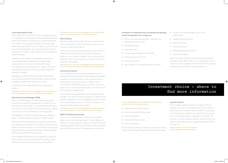#### Fund Supermarket Funds

Buying collective funds direct from a fund management group can sometimes be quite expensive (initial charges might apply) and be administratively complex (often a separate application form for each fund manager is required). It therefore makes sense where appropriate to buy the collective investment funds from a Fund Supermarket. This is because the economies of scale of such a "platform" often result in lower initial charges for the SIPP member.

In addition via the Cardif Pinnacle website valuations from a Fund Supermarket is facilitated thus enabling easier management by the adviser of the living SIPP portfolio. Fund switches are also generally much cheaper via a Funds Supermarket as the typical buying and selling charges are generally not applied.

Managing your client's SIPP from a single website will also save you time and reduce servicing costs. It will also facilitate the delivery of added value service to your client.

Cardif Pinnacle has arranged leading Fund Supermarket facilities.

### Full details can be found at www.cardifpinnacle.com/investments and in the separate fact sheet 'CP SIPP Fund Supermarkets.'

#### Discretionary Fund Manager (DFM)

Some living SIPP members and their advisers may wish to outsource the investment management of the SIPP fund to a DFM, typically a stock broker. The Cardif Pinnacle SIPP allows all of the fund monies (except the £2,000 that must be retained in the Cash Fund) to be transferred to a third party DFM.

For a combination of tax and other benefit reasons one of the key direct investments that may be attractive to living SIPP members is commercial property. This is particularly true for small business owners and partners in practice. One or more Cardif Pinnacle SIPPs can form a common investment agreement to purchase a specific property. This may be done with or without a mortgage facility.

This delegation of investment powers allows the manager or broker to create a bespoke portfolio for the SIPP member.

The flow of information between the manager or stockbroker can potentially be enhanced by the facility for the member and adviser to access information, such as valuations and holdings, about the portfolio via a standard electronic interface between the DFM and the Cardif Pinnacle website.

For Her Majestys Revenue & Customs (HMRC) purposes the DFM provides to the Cardif Pinnacle SIPP all details of trade settlements, custody and asset servicing of the portfolio.

#### Full details can be found at www.cardifpinnacle.com/investments and in the separate fact sheet 'CP SIPP DFM services.'

### Direct Dealing

Where you advise the living SIPP Member to invest directly in stocks and shares, this can be done simply and at low cost through our share dealing service.

As with any of the above, investments units in the Cash Fund will first of all be disinvested and transactions will then be carried out via a "market counterparty" who is responsible for settlement, custody of the assets and provision of information to the SIPP administrator.

#### Full details can be found at www.cardifpinnacle.com/investments and in the separate fact sheet 'CP SIPP Direct Dealing Services.'

### Commercial property

The purchase of the property will be via a third party property manager. The manager will be responsible for all aspects of the property management such as mortgage repayments, holding of loan and title deeds payment of rent by the tenants of the property and the insurance for the asset.

#### Full details can be found at www.cardifpinnacle.com/investments and in the separate fact sheet 'CP SIPP Commercial Property'.

#### HMRC Permitted Investments

There are in fact few restrictions on the type of investment assets in which schemes might invest. The key difference is whether or not the investment creates a tax charge. The Cardif Pinnacle living SIPP will allow any investments that are allowed by the HMRC and which do not generate such a tax charge.

### Examples of investments that are allowed and typically would not generate a tax charge are;

- Stocks and shares that are listed or dealt with on a recognised stock exchange.
- AIM listed securities
- Investment trusts

 $\bigoplus$ 

- UK Real Estate Investment Trusts (REITs)
- Venture Capital Trusts (VCTs)
- • Futures and Options
- Units or shares in Collective Investment Schemes

Again it should be noted that simply because an investment is allowed inside a SIPP it does not automatically follow that it should be made. Suitability of the investment for the goals and objectives of our living SIPP member is paramount.

#### Further detailed information is available from the website in respect of each of the following topics;

- Cardif Pinnacle Fund Fact Sheets
- Fund Prices and Performance Data
- Investment Bulletins
- Commercial Property Guide
- Product Information

This Investment Guide should be read in conjunction with the Cardif Pinnacle living SIPP Sales Guide and Technical Guide.

 $6$ 

 $\bigoplus$ 

- Insurance Company Managed Funds or Unit Linked Funds
- Traded Endowment Policies
- Deposit Accounts
- Structured Products
- National Savings & Investments
- Commercial Property

### Dynamic Planner

This is a highly regarded investment modelling tool that is available, at no cost, to those Advisers who are considering recommending the Cardif Pinnacle living SIPP. It is a software tool that enables the adviser to work with the client to identify the most appropriate types of investment for their SIPP. The tool uses a number of steps to identify a clients attitude to risk, determine asset allocation and suggest appropriate portfolios to match this.

Dynamic planner can be accessed from www.cardifpinnacle.com/investments

# Investment choice - where to find more information